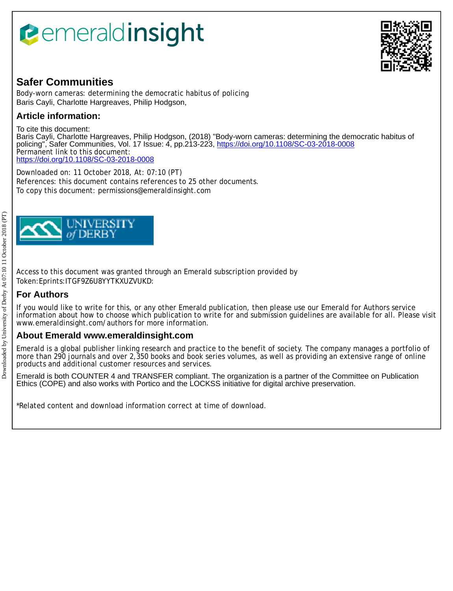# *<u><b>emeraldinsight</u>*



## **Safer Communities**

Body-worn cameras: determining the democratic habitus of policing Baris Cayli, Charlotte Hargreaves, Philip Hodgson,

## **Article information:**

To cite this document: Baris Cayli, Charlotte Hargreaves, Philip Hodgson, (2018) "Body-worn cameras: determining the democratic habitus of policing", Safer Communities, Vol. 17 Issue: 4, pp.213-223,<https://doi.org/10.1108/SC-03-2018-0008> Permanent link to this document: <https://doi.org/10.1108/SC-03-2018-0008>

Downloaded on: 11 October 2018, At: 07:10 (PT) References: this document contains references to 25 other documents. To copy this document: permissions@emeraldinsight.com



Access to this document was granted through an Emerald subscription provided by Token:Eprints:ITGF9Z6U8YYTKXUZVUKD:

## **For Authors**

If you would like to write for this, or any other Emerald publication, then please use our Emerald for Authors service information about how to choose which publication to write for and submission guidelines are available for all. Please visit www.emeraldinsight.com/authors for more information.

### **About Emerald www.emeraldinsight.com**

Emerald is a global publisher linking research and practice to the benefit of society. The company manages a portfolio of more than 290 journals and over 2,350 books and book series volumes, as well as providing an extensive range of online products and additional customer resources and services.

Emerald is both COUNTER 4 and TRANSFER compliant. The organization is a partner of the Committee on Publication Ethics (COPE) and also works with Portico and the LOCKSS initiative for digital archive preservation.

\*Related content and download information correct at time of download.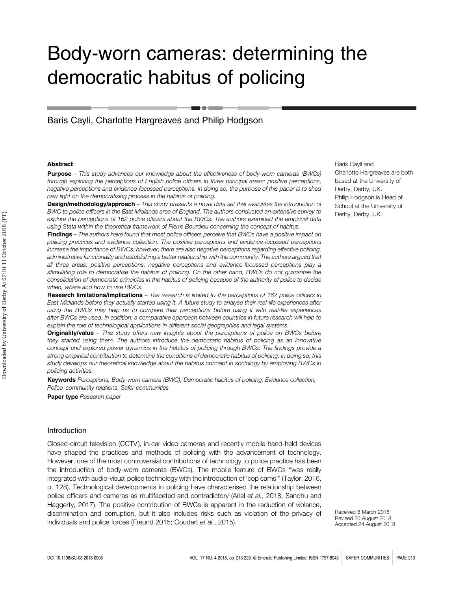## Body-worn cameras: determining the democratic habitus of policing

Baris Cayli, Charlotte Hargreaves and Philip Hodgson

#### **Abstract**

**Purpose** – This study advances our knowledge about the effectiveness of body-worn cameras (BWCs) through exploring the perceptions of English police officers in three principal areas: positive perceptions, negative perceptions and evidence-focussed perceptions. In doing so, the purpose of this paper is to shed new light on the democratising process in the habitus of policing.

**Design/methodology/approach** – This study presents a novel data set that evaluates the introduction of BWC to police officers in the East Midlands area of England. The authors conducted an extensive survey to explore the perceptions of 162 police officers about the BWCs. The authors examined the empirical data using Stata within the theoretical framework of Pierre Bourdieu concerning the concept of habitus.

Findings – The authors have found that most police officers perceive that BWCs have a positive impact on policing practices and evidence collection. The positive perceptions and evidence-focussed perceptions increase the importance of BWCs; however, there are also negative perceptions regarding effective policing, administrative functionality and establishing a better relationship with the community. The authors argued that all three areas: positive perceptions, negative perceptions and evidence-focussed perceptions play a stimulating role to democratise the habitus of policing. On the other hand, BWCs do not guarantee the consolidation of democratic principles in the habitus of policing because of the authority of police to decide when, where and how to use BWCs.

Research limitations/implications – The research is limited to the perceptions of 162 police officers in East Midlands before they actually started using it. A future study to analyse their real-life experiences after using the BWCs may help us to compare their perceptions before using it with real-life experiences after BWCs are used. In addition, a comparative approach between countries in future research will help to explain the role of technological applications in different social geographies and legal systems.

**Originality/value** – This study offers new insights about the perceptions of police on BWCs before they started using them. The authors introduce the democratic habitus of policing as an innovative concept and explored power dynamics in the habitus of policing through BWCs. The findings provide a strong empirical contribution to determine the conditions of democratic habitus of policing. In doing so, this study develops our theoretical knowledge about the habitus concept in sociology by employing BWCs in policing activities.

Keywords Perceptions, Body-worn camera (BWC), Democratic habitus of policing, Evidence collection, Police–community relations, Safer communities

Paper type Research paper

#### Introduction

Closed-circuit television (CCTV ), in-car video cameras and recently mobile hand-held devices have shaped the practices and methods of policing with the advancement of technology. However, one of the most controversial contributions of technology to police practice has been the introduction of body-worn cameras (BWCs). The mobile feature of BWCs "was really integrated with audio-visual police technology with the introduction of 'cop cams'" (Taylor, 2016, p. 128). Technological developments in policing have characterised the relationship between police officers and cameras as multifaceted and contradictory (Ariel et al., 2018; Sandhu and Haggerty, 2017). The positive contribution of BWCs is apparent in the reduction of violence, discrimination and corruption, but it also includes risks such as violation of the privacy of individuals and police forces (Freund 2015; Coudert et al., 2015).

Received 8 March 2018 Revised 20 August 2018 Accepted 24 August 2018

Baris Cayli and Charlotte Hargreaves are both based at the University of Derby, Derby, UK. Philip Hodgson is Head of School at the University of Derby, Derby, UK.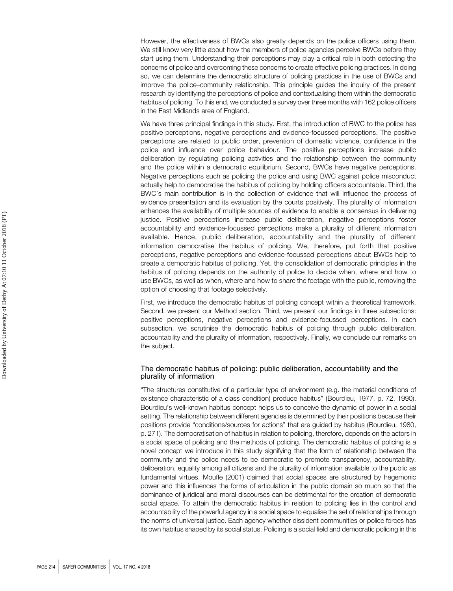However, the effectiveness of BWCs also greatly depends on the police officers using them. We still know very little about how the members of police agencies perceive BWCs before they start using them. Understanding their perceptions may play a critical role in both detecting the concerns of police and overcoming these concerns to create effective policing practices. In doing so, we can determine the democratic structure of policing practices in the use of BWCs and improve the police–community relationship. This principle guides the inquiry of the present research by identifying the perceptions of police and contextualising them within the democratic habitus of policing. To this end, we conducted a survey over three months with 162 police officers in the East Midlands area of England.

We have three principal findings in this study. First, the introduction of BWC to the police has positive perceptions, negative perceptions and evidence-focussed perceptions. The positive perceptions are related to public order, prevention of domestic violence, confidence in the police and influence over police behaviour. The positive perceptions increase public deliberation by regulating policing activities and the relationship between the community and the police within a democratic equilibrium. Second, BWCs have negative perceptions. Negative perceptions such as policing the police and using BWC against police misconduct actually help to democratise the habitus of policing by holding officers accountable. Third, the BWC's main contribution is in the collection of evidence that will influence the process of evidence presentation and its evaluation by the courts positively. The plurality of information enhances the availability of multiple sources of evidence to enable a consensus in delivering justice. Positive perceptions increase public deliberation, negative perceptions foster accountability and evidence-focussed perceptions make a plurality of different information available. Hence, public deliberation, accountability and the plurality of different information democratise the habitus of policing. We, therefore, put forth that positive perceptions, negative perceptions and evidence-focussed perceptions about BWCs help to create a democratic habitus of policing. Yet, the consolidation of democratic principles in the habitus of policing depends on the authority of police to decide when, where and how to use BWCs, as well as when, where and how to share the footage with the public, removing the option of choosing that footage selectively.

First, we introduce the democratic habitus of policing concept within a theoretical framework. Second, we present our Method section. Third, we present our findings in three subsections: positive perceptions, negative perceptions and evidence-focussed perceptions. In each subsection, we scrutinise the democratic habitus of policing through public deliberation, accountability and the plurality of information, respectively. Finally, we conclude our remarks on the subject.

#### The democratic habitus of policing: public deliberation, accountability and the plurality of information

"The structures constitutive of a particular type of environment (e.g. the material conditions of existence characteristic of a class condition) produce habitus" (Bourdieu, 1977, p. 72, 1990). Bourdieu's well-known habitus concept helps us to conceive the dynamic of power in a social setting. The relationship between different agencies is determined by their positions because their positions provide "conditions/sources for actions" that are guided by habitus (Bourdieu, 1980, p. 271). The democratisation of habitus in relation to policing, therefore, depends on the actors in a social space of policing and the methods of policing. The democratic habitus of policing is a novel concept we introduce in this study signifying that the form of relationship between the community and the police needs to be democratic to promote transparency, accountability, deliberation, equality among all citizens and the plurality of information available to the public as fundamental virtues. Mouffe (2001) claimed that social spaces are structured by hegemonic power and this influences the forms of articulation in the public domain so much so that the dominance of juridical and moral discourses can be detrimental for the creation of democratic social space. To attain the democratic habitus in relation to policing lies in the control and accountability of the powerful agency in a social space to equalise the set of relationships through the norms of universal justice. Each agency whether dissident communities or police forces has its own habitus shaped by its social status. Policing is a social field and democratic policing in this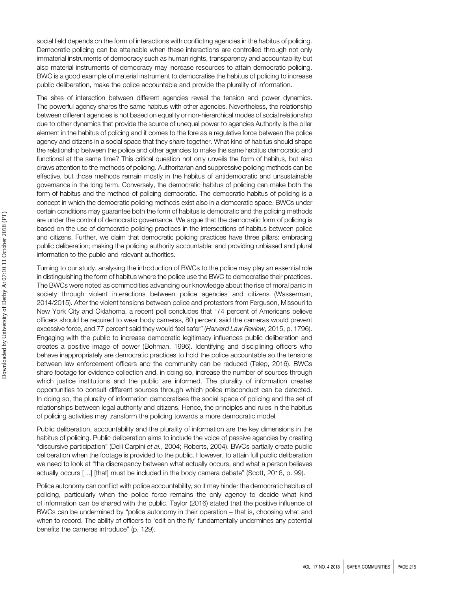social field depends on the form of interactions with conflicting agencies in the habitus of policing. Democratic policing can be attainable when these interactions are controlled through not only immaterial instruments of democracy such as human rights, transparency and accountability but also material instruments of democracy may increase resources to attain democratic policing. BWC is a good example of material instrument to democratise the habitus of policing to increase public deliberation, make the police accountable and provide the plurality of information.

The sites of interaction between different agencies reveal the tension and power dynamics. The powerful agency shares the same habitus with other agencies. Nevertheless, the relationship between different agencies is not based on equality or non-hierarchical modes of social relationship due to other dynamics that provide the source of unequal power to agencies Authority is the pillar element in the habitus of policing and it comes to the fore as a regulative force between the police agency and citizens in a social space that they share together. What kind of habitus should shape the relationship between the police and other agencies to make the same habitus democratic and functional at the same time? This critical question not only unveils the form of habitus, but also draws attention to the methods of policing. Authoritarian and suppressive policing methods can be effective, but those methods remain mostly in the habitus of antidemocratic and unsustainable governance in the long term. Conversely, the democratic habitus of policing can make both the form of habitus and the method of policing democratic. The democratic habitus of policing is a concept in which the democratic policing methods exist also in a democratic space. BWCs under certain conditions may guarantee both the form of habitus is democratic and the policing methods are under the control of democratic governance. We argue that the democratic form of policing is based on the use of democratic policing practices in the intersections of habitus between police and citizens. Further, we claim that democratic policing practices have three pillars: embracing public deliberation; making the policing authority accountable; and providing unbiased and plural information to the public and relevant authorities.

Turning to our study, analysing the introduction of BWCs to the police may play an essential role in distinguishing the form of habitus where the police use the BWC to democratise their practices. The BWCs were noted as commodities advancing our knowledge about the rise of moral panic in society through violent interactions between police agencies and citizens (Wasserman, 2014/2015). After the violent tensions between police and protestors from Ferguson, Missouri to New York City and Oklahoma, a recent poll concludes that "74 percent of Americans believe officers should be required to wear body cameras, 80 percent said the cameras would prevent excessive force, and 77 percent said they would feel safer" (Harvard Law Review, 2015, p. 1796). Engaging with the public to increase democratic legitimacy influences public deliberation and creates a positive image of power (Bohman, 1996). Identifying and disciplining officers who behave inappropriately are democratic practices to hold the police accountable so the tensions between law enforcement officers and the community can be reduced (Telep, 2016). BWCs share footage for evidence collection and, in doing so, increase the number of sources through which justice institutions and the public are informed. The plurality of information creates opportunities to consult different sources through which police misconduct can be detected. In doing so, the plurality of information democratises the social space of policing and the set of relationships between legal authority and citizens. Hence, the principles and rules in the habitus of policing activities may transform the policing towards a more democratic model.

Public deliberation, accountability and the plurality of information are the key dimensions in the habitus of policing. Public deliberation aims to include the voice of passive agencies by creating "discursive participation" (Delli Carpini et al., 2004; Roberts, 2004). BWCs partially create public deliberation when the footage is provided to the public. However, to attain full public deliberation we need to look at "the discrepancy between what actually occurs, and what a person believes actually occurs […] [that] must be included in the body camera debate" (Scott, 2016, p. 99).

Police autonomy can conflict with police accountability, so it may hinder the democratic habitus of policing, particularly when the police force remains the only agency to decide what kind of information can be shared with the public. Taylor (2016) stated that the positive influence of BWCs can be undermined by "police autonomy in their operation – that is, choosing what and when to record. The ability of officers to 'edit on the fly' fundamentally undermines any potential benefits the cameras introduce" (p. 129).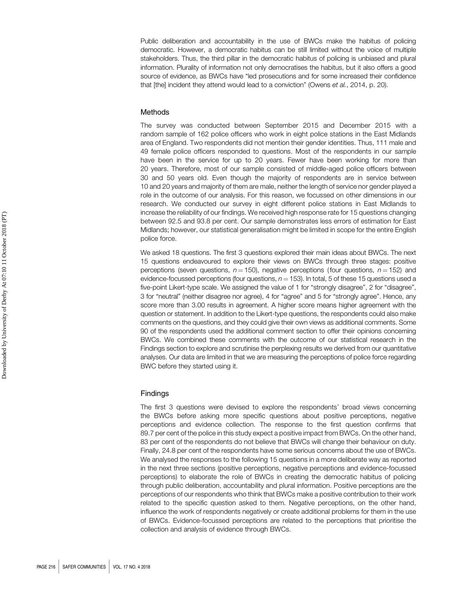Public deliberation and accountability in the use of BWCs make the habitus of policing democratic. However, a democratic habitus can be still limited without the voice of multiple stakeholders. Thus, the third pillar in the democratic habitus of policing is unbiased and plural information. Plurality of information not only democratises the habitus, but it also offers a good source of evidence, as BWCs have "led prosecutions and for some increased their confidence that [the] incident they attend would lead to a conviction" (Owens et al., 2014, p. 20).

#### Methods

The survey was conducted between September 2015 and December 2015 with a random sample of 162 police officers who work in eight police stations in the East Midlands area of England. Two respondents did not mention their gender identities. Thus, 111 male and 49 female police officers responded to questions. Most of the respondents in our sample have been in the service for up to 20 years. Fewer have been working for more than 20 years. Therefore, most of our sample consisted of middle-aged police officers between 30 and 50 years old. Even though the majority of respondents are in service between 10 and 20 years and majority of them are male, neither the length of service nor gender played a role in the outcome of our analysis. For this reason, we focussed on other dimensions in our research. We conducted our survey in eight different police stations in East Midlands to increase the reliability of our findings. We received high response rate for 15 questions changing between 92.5 and 93.8 per cent. Our sample demonstrates less errors of estimation for East Midlands; however, our statistical generalisation might be limited in scope for the entire English police force.

We asked 18 questions. The first 3 questions explored their main ideas about BWCs. The next 15 questions endeavoured to explore their views on BWCs through three stages: positive perceptions (seven questions,  $n = 150$ ), negative perceptions (four questions,  $n = 152$ ) and evidence-focussed perceptions (four questions,  $n = 153$ ). In total, 5 of these 15 questions used a five-point Likert-type scale. We assigned the value of 1 for "strongly disagree", 2 for "disagree", 3 for "neutral" (neither disagree nor agree), 4 for "agree" and 5 for "strongly agree". Hence, any score more than 3.00 results in agreement. A higher score means higher agreement with the question or statement. In addition to the Likert-type questions, the respondents could also make comments on the questions, and they could give their own views as additional comments. Some 90 of the respondents used the additional comment section to offer their opinions concerning BWCs. We combined these comments with the outcome of our statistical research in the Findings section to explore and scrutinise the perplexing results we derived from our quantitative analyses. Our data are limited in that we are measuring the perceptions of police force regarding BWC before they started using it.

#### Findings

The first 3 questions were devised to explore the respondents' broad views concerning the BWCs before asking more specific questions about positive perceptions, negative perceptions and evidence collection. The response to the first question confirms that 89.7 per cent of the police in this study expect a positive impact from BWCs. On the other hand, 83 per cent of the respondents do not believe that BWCs will change their behaviour on duty. Finally, 24.8 per cent of the respondents have some serious concerns about the use of BWCs. We analysed the responses to the following 15 questions in a more deliberate way as reported in the next three sections (positive perceptions, negative perceptions and evidence-focussed perceptions) to elaborate the role of BWCs in creating the democratic habitus of policing through public deliberation, accountability and plural information. Positive perceptions are the perceptions of our respondents who think that BWCs make a positive contribution to their work related to the specific question asked to them. Negative perceptions, on the other hand, influence the work of respondents negatively or create additional problems for them in the use of BWCs. Evidence-focussed perceptions are related to the perceptions that prioritise the collection and analysis of evidence through BWCs.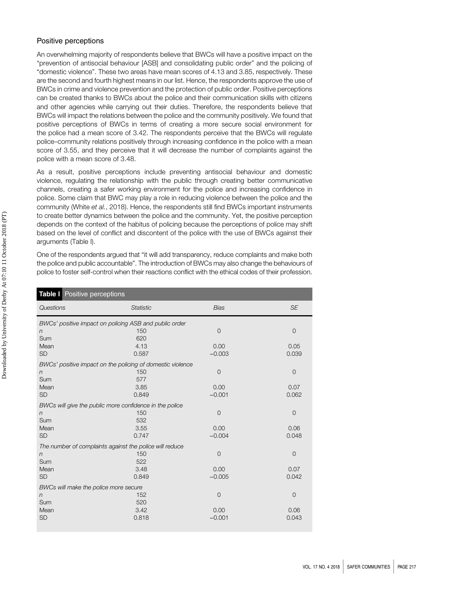#### Positive perceptions

An overwhelming majority of respondents believe that BWCs will have a positive impact on the "prevention of antisocial behaviour [ASB] and consolidating public order" and the policing of "domestic violence". These two areas have mean scores of 4.13 and 3.85, respectively. These are the second and fourth highest means in our list. Hence, the respondents approve the use of BWCs in crime and violence prevention and the protection of public order. Positive perceptions can be created thanks to BWCs about the police and their communication skills with citizens and other agencies while carrying out their duties. Therefore, the respondents believe that BWCs will impact the relations between the police and the community positively. We found that positive perceptions of BWCs in terms of creating a more secure social environment for the police had a mean score of 3.42. The respondents perceive that the BWCs will regulate police–community relations positively through increasing confidence in the police with a mean score of 3.55, and they perceive that it will decrease the number of complaints against the police with a mean score of 3.48.

As a result, positive perceptions include preventing antisocial behaviour and domestic violence, regulating the relationship with the public through creating better communicative channels, creating a safer working environment for the police and increasing confidence in police. Some claim that BWC may play a role in reducing violence between the police and the community (White et al., 2018). Hence, the respondents still find BWCs important instruments to create better dynamics between the police and the community. Yet, the positive perception depends on the context of the habitus of policing because the perceptions of police may shift based on the level of conflict and discontent of the police with the use of BWCs against their arguments (Table I).

One of the respondents argued that "it will add transparency, reduce complaints and make both the police and public accountable". The introduction of BWCs may also change the behaviours of police to foster self-control when their reactions conflict with the ethical codes of their profession.

| Table I Positive perceptions                            |                                                            |                |                |  |  |  |
|---------------------------------------------------------|------------------------------------------------------------|----------------|----------------|--|--|--|
| Questions                                               | <b>Statistic</b>                                           | <b>Bias</b>    | <b>SE</b>      |  |  |  |
| BWCs' positive impact on policing ASB and public order  |                                                            |                |                |  |  |  |
| n                                                       | 150                                                        | 0              | $\overline{0}$ |  |  |  |
| Sum                                                     | 620                                                        |                |                |  |  |  |
| Mean                                                    | 4.13                                                       | 0.00           | 0.05           |  |  |  |
| <b>SD</b>                                               | 0.587                                                      | $-0.003$       | 0.039          |  |  |  |
|                                                         | BWCs' positive impact on the policing of domestic violence |                |                |  |  |  |
| n                                                       | 150                                                        | $\overline{0}$ | $\mathbf{O}$   |  |  |  |
| Sum                                                     | 577                                                        |                |                |  |  |  |
| Mean                                                    | 3.85                                                       | 0.00           | 0.07           |  |  |  |
| <b>SD</b>                                               | 0.849                                                      | $-0.001$       | 0.062          |  |  |  |
| BWCs will give the public more confidence in the police |                                                            |                |                |  |  |  |
| n                                                       | 150                                                        | 0              | $\overline{0}$ |  |  |  |
| Sum                                                     | 532                                                        |                |                |  |  |  |
| Mean                                                    | 3.55                                                       | 0.00           | 0.06           |  |  |  |
| <b>SD</b>                                               | 0.747                                                      | $-0.004$       | 0.048          |  |  |  |
| The number of complaints against the police will reduce |                                                            |                |                |  |  |  |
| $\eta$                                                  | 150                                                        | $\mathbf 0$    | $\mathbf{O}$   |  |  |  |
| Sum                                                     | 522                                                        |                |                |  |  |  |
| Mean                                                    | 3.48                                                       | 0.00           | 0.07           |  |  |  |
| <b>SD</b>                                               | 0.849                                                      | $-0.005$       | 0.042          |  |  |  |
| BWCs will make the police more secure                   |                                                            |                |                |  |  |  |
| n                                                       | 152                                                        | 0              | $\overline{0}$ |  |  |  |
| Sum                                                     | 520                                                        |                |                |  |  |  |
| Mean                                                    | 3.42                                                       | 0.00           | 0.06           |  |  |  |
| <b>SD</b>                                               | 0.818                                                      | $-0.001$       | 0.043          |  |  |  |
|                                                         |                                                            |                |                |  |  |  |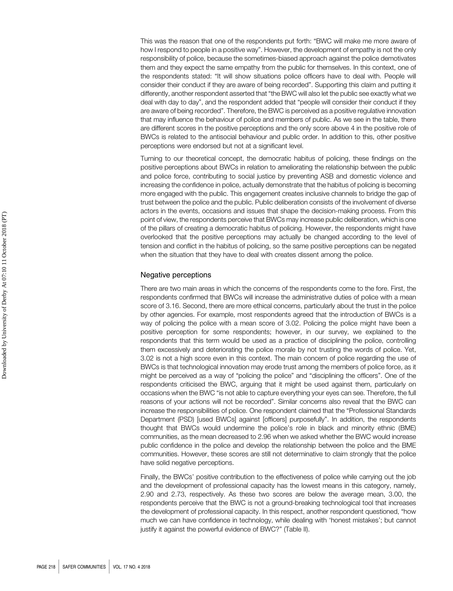This was the reason that one of the respondents put forth: "BWC will make me more aware of how I respond to people in a positive way". However, the development of empathy is not the only responsibility of police, because the sometimes-biased approach against the police demotivates them and they expect the same empathy from the public for themselves. In this context, one of the respondents stated: "It will show situations police officers have to deal with. People will consider their conduct if they are aware of being recorded". Supporting this claim and putting it differently, another respondent asserted that "the BWC will also let the public see exactly what we deal with day to day", and the respondent added that "people will consider their conduct if they are aware of being recorded". Therefore, the BWC is perceived as a positive regulative innovation that may influence the behaviour of police and members of public. As we see in the table, there are different scores in the positive perceptions and the only score above 4 in the positive role of BWCs is related to the antisocial behaviour and public order. In addition to this, other positive perceptions were endorsed but not at a significant level.

Turning to our theoretical concept, the democratic habitus of policing, these findings on the positive perceptions about BWCs in relation to ameliorating the relationship between the public and police force, contributing to social justice by preventing ASB and domestic violence and increasing the confidence in police, actually demonstrate that the habitus of policing is becoming more engaged with the public. This engagement creates inclusive channels to bridge the gap of trust between the police and the public. Public deliberation consists of the involvement of diverse actors in the events, occasions and issues that shape the decision-making process. From this point of view, the respondents perceive that BWCs may increase public deliberation, which is one of the pillars of creating a democratic habitus of policing. However, the respondents might have overlooked that the positive perceptions may actually be changed according to the level of tension and conflict in the habitus of policing, so the same positive perceptions can be negated when the situation that they have to deal with creates dissent among the police.

#### Negative perceptions

There are two main areas in which the concerns of the respondents come to the fore. First, the respondents confirmed that BWCs will increase the administrative duties of police with a mean score of 3.16. Second, there are more ethical concerns, particularly about the trust in the police by other agencies. For example, most respondents agreed that the introduction of BWCs is a way of policing the police with a mean score of 3.02. Policing the police might have been a positive perception for some respondents; however, in our survey, we explained to the respondents that this term would be used as a practice of disciplining the police, controlling them excessively and deteriorating the police morale by not trusting the words of police. Yet, 3.02 is not a high score even in this context. The main concern of police regarding the use of BWCs is that technological innovation may erode trust among the members of police force, as it might be perceived as a way of "policing the police" and "disciplining the officers". One of the respondents criticised the BWC, arguing that it might be used against them, particularly on occasions when the BWC "is not able to capture everything your eyes can see. Therefore, the full reasons of your actions will not be recorded". Similar concerns also reveal that the BWC can increase the responsibilities of police. One respondent claimed that the "Professional Standards Department (PSD) [used BWCs] against [officers] purposefully". In addition, the respondents thought that BWCs would undermine the police's role in black and minority ethnic (BME) communities, as the mean decreased to 2.96 when we asked whether the BWC would increase public confidence in the police and develop the relationship between the police and the BME communities. However, these scores are still not determinative to claim strongly that the police have solid negative perceptions.

Finally, the BWCs' positive contribution to the effectiveness of police while carrying out the job and the development of professional capacity has the lowest means in this category, namely, 2.90 and 2.73, respectively. As these two scores are below the average mean, 3.00, the respondents perceive that the BWC is not a ground-breaking technological tool that increases the development of professional capacity. In this respect, another respondent questioned, "how much we can have confidence in technology, while dealing with 'honest mistakes'; but cannot justify it against the powerful evidence of BWC?" (Table II).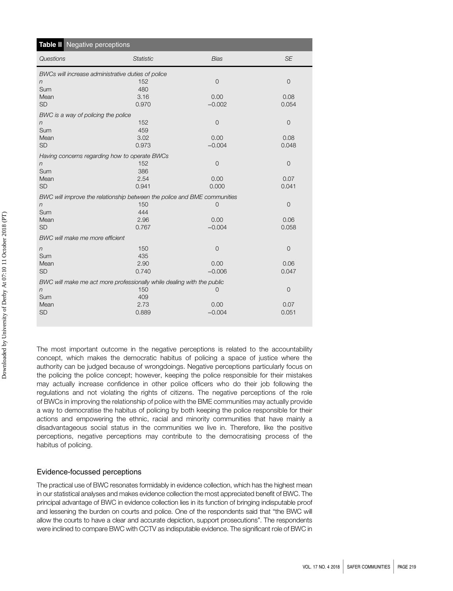|                                                                          | Table II Negative perceptions |                |                |  |  |  |
|--------------------------------------------------------------------------|-------------------------------|----------------|----------------|--|--|--|
| Questions                                                                | <b>Statistic</b>              | <b>Bias</b>    | <b>SE</b>      |  |  |  |
| BWCs will increase administrative duties of police                       |                               |                |                |  |  |  |
| n                                                                        | 152                           | $\overline{0}$ | $\overline{O}$ |  |  |  |
| Sum                                                                      | 480                           |                |                |  |  |  |
| Mean                                                                     | 3.16                          | 0.00           | 0.08           |  |  |  |
| <b>SD</b>                                                                | 0.970                         | $-0.002$       | 0.054          |  |  |  |
| BWC is a way of policing the police                                      |                               |                |                |  |  |  |
| n                                                                        | 152                           | $\mathbf 0$    | $\mathbf 0$    |  |  |  |
| Sum                                                                      | 459                           |                |                |  |  |  |
| Mean                                                                     | 3.02                          | 0.00           | 0.08           |  |  |  |
| <b>SD</b>                                                                | 0.973                         | $-0.004$       | 0.048          |  |  |  |
| Having concerns regarding how to operate BWCs                            |                               |                |                |  |  |  |
| n                                                                        | 152                           | $\overline{0}$ | $\overline{0}$ |  |  |  |
| Sum                                                                      | 386                           |                |                |  |  |  |
| Mean                                                                     | 2.54                          | 0.00           | 0.07           |  |  |  |
| <b>SD</b>                                                                | 0.941                         | 0.000          | 0.041          |  |  |  |
| BWC will improve the relationship between the police and BME communities |                               |                |                |  |  |  |
| n                                                                        | 150                           | $\overline{0}$ | $\mathbf 0$    |  |  |  |
| Sum                                                                      | 444                           |                |                |  |  |  |
| Mean                                                                     | 2.96                          | 0.00           | 0.06           |  |  |  |
| <b>SD</b>                                                                | 0.767                         | $-0.004$       | 0.058          |  |  |  |
| BWC will make me more efficient                                          |                               |                |                |  |  |  |
| n                                                                        | 150                           | $\overline{0}$ | $\overline{0}$ |  |  |  |
| Sum                                                                      | 435                           |                |                |  |  |  |
| Mean                                                                     | 2.90                          | 0.00           | 0.06           |  |  |  |
| <b>SD</b>                                                                | 0.740                         | $-0.006$       | 0.047          |  |  |  |
| BWC will make me act more professionally while dealing with the public   |                               |                |                |  |  |  |
| n                                                                        | 150                           | $\Omega$       | $\mathbf 0$    |  |  |  |
| Sum                                                                      | 409                           |                |                |  |  |  |
| Mean                                                                     | 2.73                          | 0.00           | 0.07           |  |  |  |
| <b>SD</b>                                                                | 0.889                         | $-0.004$       | 0.051          |  |  |  |
|                                                                          |                               |                |                |  |  |  |

The most important outcome in the negative perceptions is related to the accountability concept, which makes the democratic habitus of policing a space of justice where the authority can be judged because of wrongdoings. Negative perceptions particularly focus on the policing the police concept; however, keeping the police responsible for their mistakes may actually increase confidence in other police officers who do their job following the regulations and not violating the rights of citizens. The negative perceptions of the role of BWCs in improving the relationship of police with the BME communities may actually provide a way to democratise the habitus of policing by both keeping the police responsible for their actions and empowering the ethnic, racial and minority communities that have mainly a disadvantageous social status in the communities we live in. Therefore, like the positive perceptions, negative perceptions may contribute to the democratising process of the habitus of policing.

#### Evidence-focussed perceptions

The practical use of BWC resonates formidably in evidence collection, which has the highest mean in our statistical analyses and makes evidence collection the most appreciated benefit of BWC. The principal advantage of BWC in evidence collection lies in its function of bringing indisputable proof and lessening the burden on courts and police. One of the respondents said that "the BWC will allow the courts to have a clear and accurate depiction, support prosecutions". The respondents were inclined to compare BWC with CCTV as indisputable evidence. The significant role of BWC in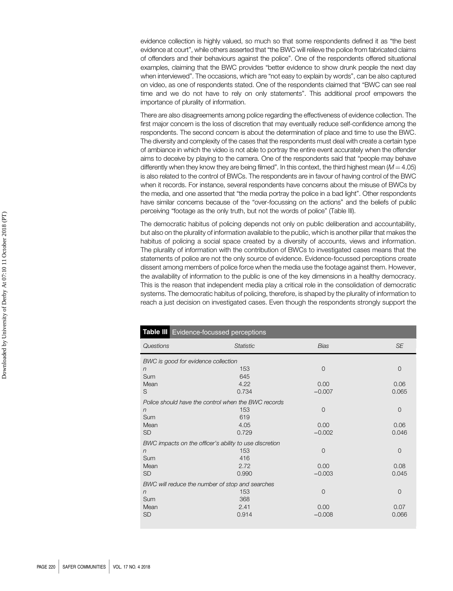evidence collection is highly valued, so much so that some respondents defined it as "the best evidence at court", while others asserted that "the BWC will relieve the police from fabricated claims of offenders and their behaviours against the police". One of the respondents offered situational examples, claiming that the BWC provides "better evidence to show drunk people the next day when interviewed". The occasions, which are "not easy to explain by words", can be also captured on video, as one of respondents stated. One of the respondents claimed that "BWC can see real time and we do not have to rely on only statements". This additional proof empowers the importance of plurality of information.

There are also disagreements among police regarding the effectiveness of evidence collection. The first major concern is the loss of discretion that may eventually reduce self-confidence among the respondents. The second concern is about the determination of place and time to use the BWC. The diversity and complexity of the cases that the respondents must deal with create a certain type of ambiance in which the video is not able to portray the entire event accurately when the offender aims to deceive by playing to the camera. One of the respondents said that "people may behave differently when they know they are being filmed". In this context, the third highest mean ( $M = 4.05$ ) is also related to the control of BWCs. The respondents are in favour of having control of the BWC when it records. For instance, several respondents have concerns about the misuse of BWCs by the media, and one asserted that "the media portray the police in a bad light". Other respondents have similar concerns because of the "over-focussing on the actions" and the beliefs of public perceiving "footage as the only truth, but not the words of police" (Table III).

The democratic habitus of policing depends not only on public deliberation and accountability, but also on the plurality of information available to the public, which is another pillar that makes the habitus of policing a social space created by a diversity of accounts, views and information. The plurality of information with the contribution of BWCs to investigated cases means that the statements of police are not the only source of evidence. Evidence-focussed perceptions create dissent among members of police force when the media use the footage against them. However, the availability of information to the public is one of the key dimensions in a healthy democracy. This is the reason that independent media play a critical role in the consolidation of democratic systems. The democratic habitus of policing, therefore, is shaped by the plurality of information to reach a just decision on investigated cases. Even though the respondents strongly support the

| Table III Evidence-focussed perceptions |                                                        |                |                |  |  |
|-----------------------------------------|--------------------------------------------------------|----------------|----------------|--|--|
| Questions                               | <b>Statistic</b>                                       | <b>Bias</b>    | <b>SE</b>      |  |  |
| BWC is good for evidence collection     |                                                        |                |                |  |  |
| n                                       | 153                                                    | $\mathcal{O}$  | $\mathbf 0$    |  |  |
| Sum                                     | 645                                                    |                |                |  |  |
| Mean                                    | 4.22                                                   | 0.00           | 0.06           |  |  |
| S                                       | 0.734                                                  | $-0.007$       | 0.065          |  |  |
|                                         | Police should have the control when the BWC records    |                |                |  |  |
| $\sqrt{n}$                              | 153                                                    | $\overline{0}$ | $\mathbf 0$    |  |  |
| Sum                                     | 619                                                    |                |                |  |  |
| Mean                                    | 4.05                                                   | 0.00           | 0.06           |  |  |
| <b>SD</b>                               | 0.729                                                  | $-0.002$       | 0.046          |  |  |
|                                         | BWC impacts on the officer's ability to use discretion |                |                |  |  |
| $\sqrt{n}$                              | 153                                                    | $\mathcal{O}$  | $\overline{0}$ |  |  |
| Sum                                     | 416                                                    |                |                |  |  |
| Mean                                    | 2.72                                                   | 0.00           | 0.08           |  |  |
| <b>SD</b>                               | 0.990                                                  | $-0.003$       | 0.045          |  |  |
|                                         | BWC will reduce the number of stop and searches        |                |                |  |  |
| $\sqrt{n}$                              | 153                                                    | $\mathcal{O}$  | $\overline{0}$ |  |  |
| Sum                                     | 368                                                    |                |                |  |  |
| Mean                                    | 2.41                                                   | 0.00           | 0.07           |  |  |
| <b>SD</b>                               | 0.914                                                  | $-0.008$       | 0.066          |  |  |
|                                         |                                                        |                |                |  |  |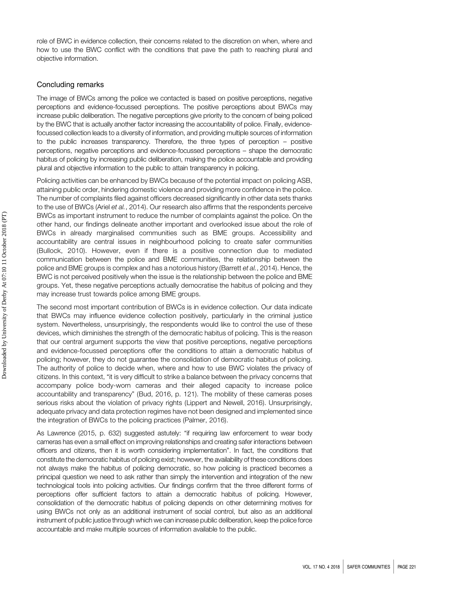role of BWC in evidence collection, their concerns related to the discretion on when, where and how to use the BWC conflict with the conditions that pave the path to reaching plural and objective information.

#### Concluding remarks

The image of BWCs among the police we contacted is based on positive perceptions, negative perceptions and evidence-focussed perceptions. The positive perceptions about BWCs may increase public deliberation. The negative perceptions give priority to the concern of being policed by the BWC that is actually another factor increasing the accountability of police. Finally, evidencefocussed collection leads to a diversity of information, and providing multiple sources of information to the public increases transparency. Therefore, the three types of perception – positive perceptions, negative perceptions and evidence-focussed perceptions – shape the democratic habitus of policing by increasing public deliberation, making the police accountable and providing plural and objective information to the public to attain transparency in policing.

Policing activities can be enhanced by BWCs because of the potential impact on policing ASB, attaining public order, hindering domestic violence and providing more confidence in the police. The number of complaints filed against officers decreased significantly in other data sets thanks to the use of BWCs (Ariel et al., 2014). Our research also affirms that the respondents perceive BWCs as important instrument to reduce the number of complaints against the police. On the other hand, our findings delineate another important and overlooked issue about the role of BWCs in already marginalised communities such as BME groups. Accessibility and accountability are central issues in neighbourhood policing to create safer communities (Bullock, 2010). However, even if there is a positive connection due to mediated communication between the police and BME communities, the relationship between the police and BME groups is complex and has a notorious history (Barrett et al., 2014). Hence, the BWC is not perceived positively when the issue is the relationship between the police and BME groups. Yet, these negative perceptions actually democratise the habitus of policing and they may increase trust towards police among BME groups.

The second most important contribution of BWCs is in evidence collection. Our data indicate that BWCs may influence evidence collection positively, particularly in the criminal justice system. Nevertheless, unsurprisingly, the respondents would like to control the use of these devices, which diminishes the strength of the democratic habitus of policing. This is the reason that our central argument supports the view that positive perceptions, negative perceptions and evidence-focussed perceptions offer the conditions to attain a democratic habitus of policing; however, they do not guarantee the consolidation of democratic habitus of policing. The authority of police to decide when, where and how to use BWC violates the privacy of citizens. In this context, "it is very difficult to strike a balance between the privacy concerns that accompany police body-worn cameras and their alleged capacity to increase police accountability and transparency" (Bud, 2016, p. 121). The mobility of these cameras poses serious risks about the violation of privacy rights (Lippert and Newell, 2016). Unsurprisingly, adequate privacy and data protection regimes have not been designed and implemented since the integration of BWCs to the policing practices (Palmer, 2016).

As Lawrence (2015, p. 632) suggested astutely: "if requiring law enforcement to wear body cameras has even a small effect on improving relationships and creating safer interactions between officers and citizens, then it is worth considering implementation". In fact, the conditions that constitute the democratic habitus of policing exist; however, the availability of these conditions does not always make the habitus of policing democratic, so how policing is practiced becomes a principal question we need to ask rather than simply the intervention and integration of the new technological tools into policing activities. Our findings confirm that the three different forms of perceptions offer sufficient factors to attain a democratic habitus of policing. However, consolidation of the democratic habitus of policing depends on other determining motives for using BWCs not only as an additional instrument of social control, but also as an additional instrument of public justice through which we can increase public deliberation, keep the police force accountable and make multiple sources of information available to the public.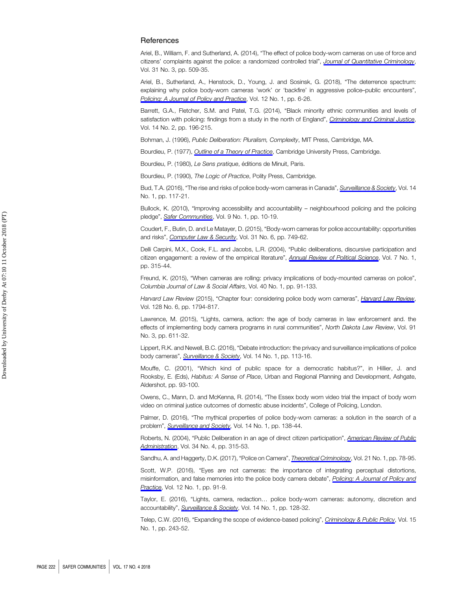#### **References**

Ariel, B., William, F. and Sutherland, A. (2014), "The effect of police body-worn cameras on use of force and citizens' complaints against the police: a randomized controlled trial", [Journal of Quantitative Criminology](https://www.emeraldinsight.com/action/showLinks?doi=10.1108%2FSC-03-2018-0008&crossref=10.1007%2Fs10940-014-9236-3&isi=000360193100008&citationId=p_1), Vol. 31 No. 3, pp. 509-35.

Ariel, B., Sutherland, A., Henstock, D., Young, J. and Sosinsk, G. (2018), "The deterrence spectrum: explaining why police body-worn cameras 'work' or 'backfire' in aggressive police–public encounters", [Policing: A Journal of Policy and Practice](https://www.emeraldinsight.com/action/showLinks?doi=10.1108%2FSC-03-2018-0008&crossref=10.1093%2Fpolice%2Fpaw051&isi=000427005800002&citationId=p_2), Vol. 12 No. 1, pp. 6-26.

Barrett, G.A., Fletcher, S.M. and Patel, T.G. (2014), "Black minority ethnic communities and levels of satisfaction with policing: findings from a study in the north of England", [Criminology and Criminal Justice](https://www.emeraldinsight.com/action/showLinks?doi=10.1108%2FSC-03-2018-0008&crossref=10.1177%2F1748895813483760&isi=000337623400005&citationId=p_3) Vol. 14 No. 2, pp. 196-215.

Bohman, J. (1996), Public Deliberation: Pluralism, Complexity, MIT Press, Cambridge, MA.

Bourdieu, P. (1977), *[Outline of a Theory of Practice](https://www.emeraldinsight.com/action/showLinks?doi=10.1108%2FSC-03-2018-0008&crossref=10.1017%2FCBO9780511812507&citationId=p_5)*, Cambridge University Press, Cambridge.

Bourdieu, P. (1980), Le Sens pratique, éditions de Minuit, Paris.

Bourdieu, P. (1990), The Logic of Practice, Polity Press, Cambridge.

Bud, T.A. (2016), "The rise and risks of police body-worn cameras in Canada", [Surveillance & Society](https://www.emeraldinsight.com/action/showLinks?doi=10.1108%2FSC-03-2018-0008&crossref=10.24908%2Fss.v14i1.6280&isi=000393469900008&citationId=p_8), Vol. 14 No. 1, pp. 117-21.

Bullock, K. (2010), "Improving accessibility and accountability – neighbourhood policing and the policing pledge", [Safer Communities](https://www.emeraldinsight.com/action/showLinks?doi=10.1108%2FSC-03-2018-0008&system=10.5042%2Fsc.2010.0009&citationId=p_9), Vol. 9 No. 1, pp. 10-19.

Coudert, F., Butin, D. and Le Matayer, D. (2015), "Body-worn cameras for police accountability: opportunities and risks", [Computer Law & Security](https://www.emeraldinsight.com/action/showLinks?doi=10.1108%2FSC-03-2018-0008&crossref=10.1016%2Fj.clsr.2015.09.002&isi=000366232200004&citationId=p_10), Vol. 31 No. 6, pp. 749-62.

Delli Carpini, M.X., Cook, F.L. and Jacobs, L.R. (2004), "Public deliberations, discursive participation and citizen engagement: a review of the empirical literature", [Annual Review of Political Science](https://www.emeraldinsight.com/action/showLinks?doi=10.1108%2FSC-03-2018-0008&crossref=10.1146%2Fannurev.polisci.7.121003.091630&citationId=p_11), Vol. 7 No. 1, pp. 315-44.

Freund, K. (2015), "When cameras are rolling: privacy implications of body-mounted cameras on police", Columbia Journal of Law & Social Affairs, Vol. 40 No. 1, pp. 91-133.

[Harvard Law Review](https://www.emeraldinsight.com/action/showLinks?doi=10.1108%2FSC-03-2018-0008&isi=000353364000008&citationId=p_13) (2015), "Chapter four: considering police body worn cameras", Harvard Law Review Vol. 128 No. 6, pp. 1794-817.

Lawrence, M. (2015), "Lights, camera, action: the age of body cameras in law enforcement and. the effects of implementing body camera programs in rural communities", North Dakota Law Review, Vol. 91 No. 3, pp. 611-32.

Lippert, R.K. and Newell, B.C. (2016), "Debate introduction: the privacy and surveillance implications of police body cameras", [Surveillance & Society](https://www.emeraldinsight.com/action/showLinks?doi=10.1108%2FSC-03-2018-0008&crossref=10.24908%2Fss.v14i1.6279&isi=000393469900007&citationId=p_15), Vol. 14 No. 1, pp. 113-16.

Mouffe, C. (2001), "Which kind of public space for a democratic habitus?", in Hillier, J. and Rooksby, E. (Eds), Habitus: A Sense of Place, Urban and Regional Planning and Development, Ashgate, Aldershot, pp. 93-100.

Owens, C., Mann, D. and McKenna, R. (2014), "The Essex body worn video trial the impact of body worn video on criminal justice outcomes of domestic abuse incidents", College of Policing, London.

Palmer, D. (2016), "The mythical properties of police body-worn cameras: a solution in the search of a problem", [Surveillance and Society](https://www.emeraldinsight.com/action/showLinks?doi=10.1108%2FSC-03-2018-0008&crossref=10.24908%2Fss.v14i1.6287&isi=000393469900012&citationId=p_18), Vol. 14 No. 1, pp. 138-44.

Roberts, N. (2004), "Public Deliberation in an age of direct citizen participation", [American Review of Public](https://www.emeraldinsight.com/action/showLinks?doi=10.1108%2FSC-03-2018-0008&crossref=10.1177%2F0275074004269288&isi=000225010800001&citationId=p_19) [Administration](https://www.emeraldinsight.com/action/showLinks?doi=10.1108%2FSC-03-2018-0008&crossref=10.1177%2F0275074004269288&isi=000225010800001&citationId=p_19), Vol. 34 No. 4, pp. 315-53.

Sandhu, A. and Haggerty, D.K. (2017), "Police on Camera", [Theoretical Criminology](https://www.emeraldinsight.com/action/showLinks?doi=10.1108%2FSC-03-2018-0008&crossref=10.1177%2F1362480615622531&citationId=p_20), Vol. 21 No. 1, pp. 78-95.

Scott, W.P. (2016), "Eyes are not cameras: the importance of integrating perceptual distortions, misinformation, and false memories into the police body camera debate", [Policing: A Journal of Policy and](https://www.emeraldinsight.com/action/showLinks?doi=10.1108%2FSC-03-2018-0008&isi=000427005800009&citationId=p_21) [Practice](https://www.emeraldinsight.com/action/showLinks?doi=10.1108%2FSC-03-2018-0008&isi=000427005800009&citationId=p_21), Vol. 12 No. 1, pp. 91-9.

Taylor, E. (2016), "Lights, camera, redaction… police body-worn cameras: autonomy, discretion and accountability", [Surveillance & Society](https://www.emeraldinsight.com/action/showLinks?doi=10.1108%2FSC-03-2018-0008&crossref=10.24908%2Fss.v14i1.6285&isi=000393469900010&citationId=p_22), Vol. 14 No. 1, pp. 128-32.

Telep, C.W. (2016), "Expanding the scope of evidence-based policing", [Criminology & Public Policy](https://www.emeraldinsight.com/action/showLinks?doi=10.1108%2FSC-03-2018-0008&crossref=10.1111%2F1745-9133.12188&isi=000370728400020&citationId=p_23), Vol. 15 No. 1, pp. 243-52.